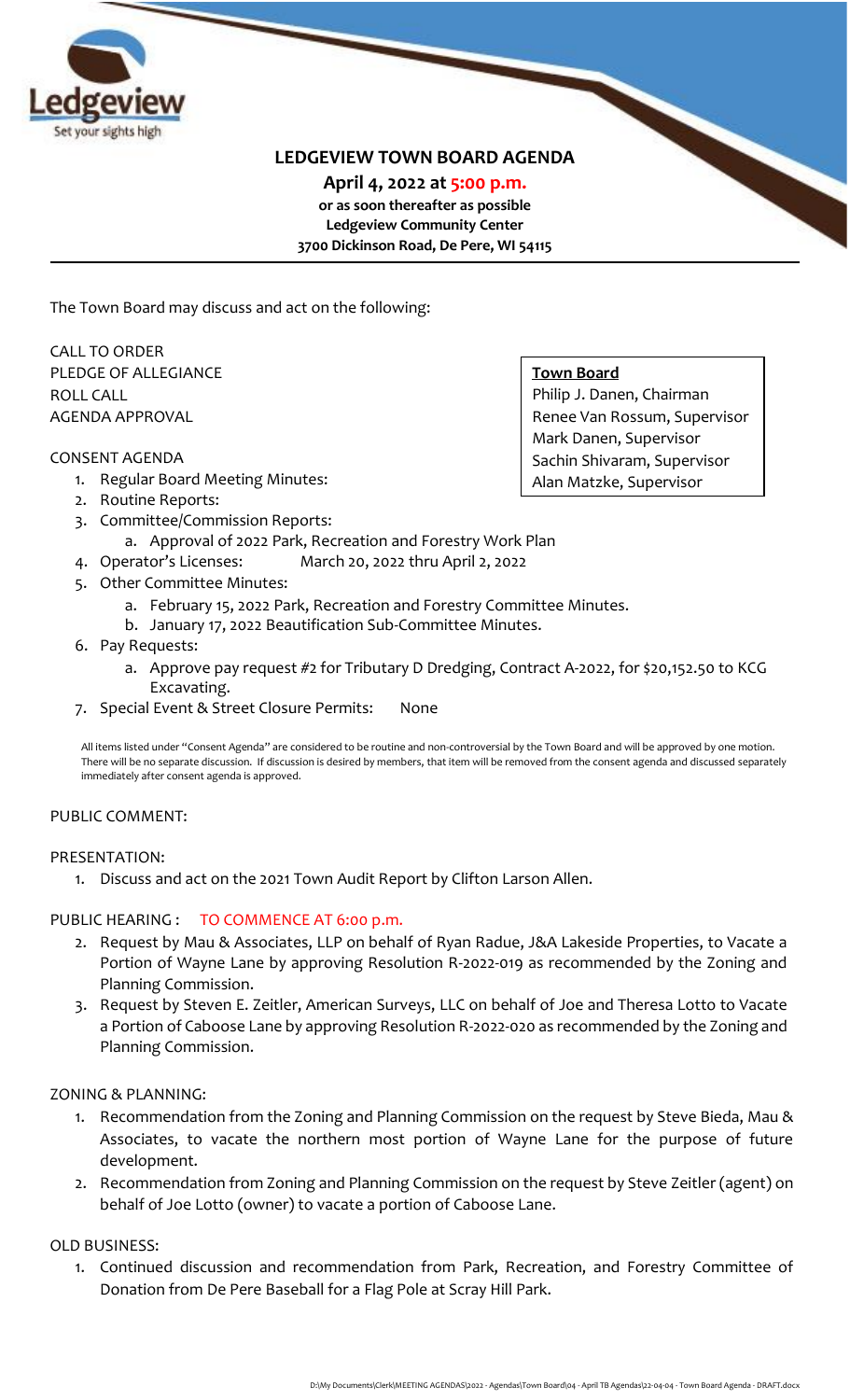

# **LEDGEVIEW TOWN BOARD AGENDA**

**April 4, 2022 at 5:00 p.m. or as soon thereafter as possible Ledgeview Community Center 3700 Dickinson Road, De Pere, WI 54115**

The Town Board may discuss and act on the following:

CALL TO ORDER PLEDGE OF ALLEGIANCE ROLL CALL AGENDA APPROVAL

#### CONSENT AGENDA

- 1. Regular Board Meeting Minutes:
- 2. Routine Reports:
- 3. Committee/Commission Reports:
	- a. Approval of 2022 Park, Recreation and Forestry Work Plan
- 4. Operator's Licenses: March 20, 2022 thru April 2, 2022
- 5. Other Committee Minutes:
	- a. February 15, 2022 Park, Recreation and Forestry Committee Minutes.
	- b. January 17, 2022 Beautification Sub-Committee Minutes.
- 6. Pay Requests:
	- a. Approve pay request #2 for Tributary D Dredging, Contract A-2022, for \$20,152.50 to KCG Excavating.
- 7. Special Event & Street Closure Permits: None

All items listed under "Consent Agenda" are considered to be routine and non-controversial by the Town Board and will be approved by one motion. There will be no separate discussion. If discussion is desired by members, that item will be removed from the consent agenda and discussed separately immediately after consent agenda is approved.

#### PUBLIC COMMENT:

#### PRESENTATION:

1. Discuss and act on the 2021 Town Audit Report by Clifton Larson Allen.

# PUBLIC HEARING : TO COMMENCE AT 6:00 p.m.

- 2. Request by Mau & Associates, LLP on behalf of Ryan Radue, J&A Lakeside Properties, to Vacate a Portion of Wayne Lane by approving Resolution R-2022-019 as recommended by the Zoning and Planning Commission.
- 3. Request by Steven E. Zeitler, American Surveys, LLC on behalf of Joe and Theresa Lotto to Vacate a Portion of Caboose Lane by approving Resolution R-2022-020 as recommended by the Zoning and Planning Commission.

# ZONING & PLANNING:

- 1. Recommendation from the Zoning and Planning Commission on the request by Steve Bieda, Mau & Associates, to vacate the northern most portion of Wayne Lane for the purpose of future development.
- 2. Recommendation from Zoning and Planning Commission on the request by Steve Zeitler (agent) on behalf of Joe Lotto (owner) to vacate a portion of Caboose Lane.

#### OLD BUSINESS:

1. Continued discussion and recommendation from Park, Recreation, and Forestry Committee of Donation from De Pere Baseball for a Flag Pole at Scray Hill Park.

# **Town Board**

Philip J. Danen, Chairman Renee Van Rossum, Supervisor Mark Danen, Supervisor Sachin Shivaram, Supervisor Alan Matzke, Supervisor